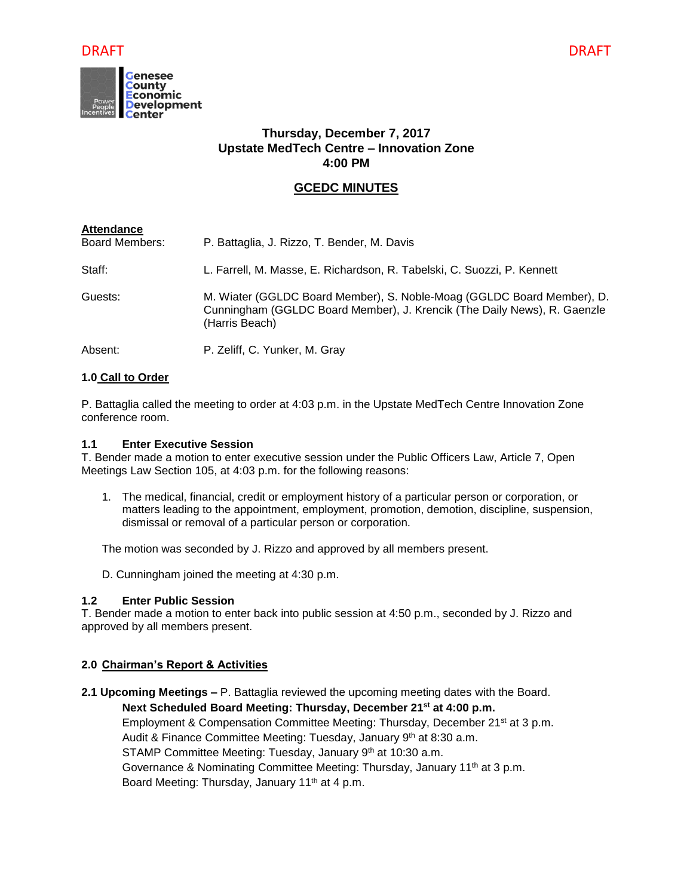

# **Thursday, December 7, 2017 Upstate MedTech Centre – Innovation Zone 4:00 PM**

# **GCEDC MINUTES**

| <b>Attendance</b>     |                                                                                                                                                                      |
|-----------------------|----------------------------------------------------------------------------------------------------------------------------------------------------------------------|
| <b>Board Members:</b> | P. Battaglia, J. Rizzo, T. Bender, M. Davis                                                                                                                          |
| Staff:                | L. Farrell, M. Masse, E. Richardson, R. Tabelski, C. Suozzi, P. Kennett                                                                                              |
| Guests:               | M. Wiater (GGLDC Board Member), S. Noble-Moag (GGLDC Board Member), D.<br>Cunningham (GGLDC Board Member), J. Krencik (The Daily News), R. Gaenzle<br>(Harris Beach) |
| Absent:               | P. Zeliff, C. Yunker, M. Gray                                                                                                                                        |

# **1.0 Call to Order**

P. Battaglia called the meeting to order at 4:03 p.m. in the Upstate MedTech Centre Innovation Zone conference room.

#### **1.1 Enter Executive Session**

T. Bender made a motion to enter executive session under the Public Officers Law, Article 7, Open Meetings Law Section 105, at 4:03 p.m. for the following reasons:

1. The medical, financial, credit or employment history of a particular person or corporation, or matters leading to the appointment, employment, promotion, demotion, discipline, suspension, dismissal or removal of a particular person or corporation.

The motion was seconded by J. Rizzo and approved by all members present.

D. Cunningham joined the meeting at 4:30 p.m.

# **1.2 Enter Public Session**

T. Bender made a motion to enter back into public session at 4:50 p.m., seconded by J. Rizzo and approved by all members present.

# **2.0 Chairman's Report & Activities**

**2.1 Upcoming Meetings –** P. Battaglia reviewed the upcoming meeting dates with the Board.

**Next Scheduled Board Meeting: Thursday, December 21st at 4:00 p.m.** Employment & Compensation Committee Meeting: Thursday, December 21<sup>st</sup> at 3 p.m. Audit & Finance Committee Meeting: Tuesday, January 9<sup>th</sup> at 8:30 a.m. STAMP Committee Meeting: Tuesday, January 9th at 10:30 a.m. Governance & Nominating Committee Meeting: Thursday, January 11<sup>th</sup> at 3 p.m.

Board Meeting: Thursday, January 11th at 4 p.m.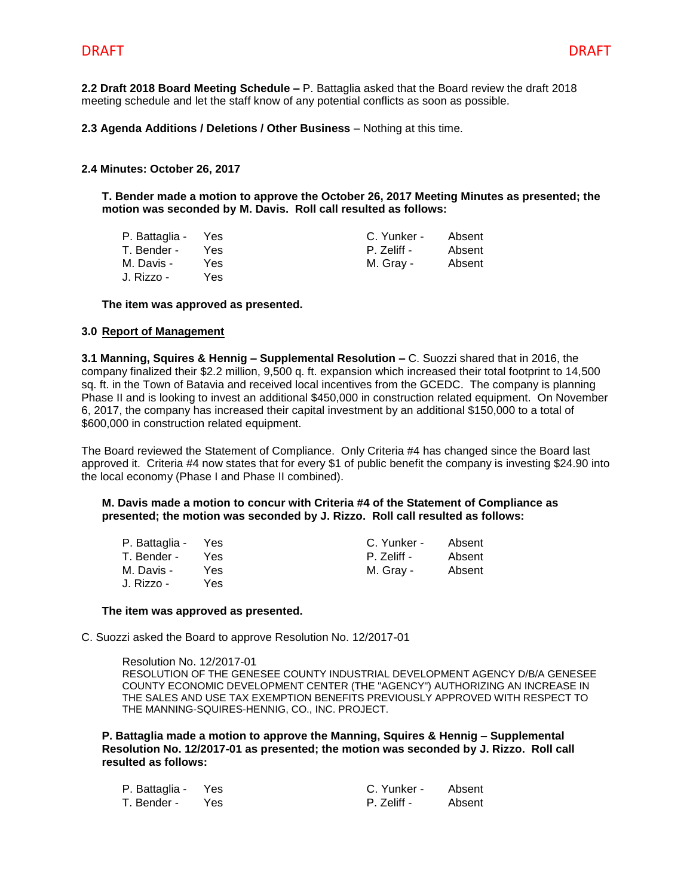**2.2 Draft 2018 Board Meeting Schedule –** P. Battaglia asked that the Board review the draft 2018 meeting schedule and let the staff know of any potential conflicts as soon as possible.

**2.3 Agenda Additions / Deletions / Other Business** – Nothing at this time.

#### **2.4 Minutes: October 26, 2017**

**T. Bender made a motion to approve the October 26, 2017 Meeting Minutes as presented; the motion was seconded by M. Davis. Roll call resulted as follows:**

| P. Battaglia - Yes |      | C. Yunker - | Absent |
|--------------------|------|-------------|--------|
| T. Bender -        | Yes. | P. Zeliff - | Absent |
| M. Davis -         | Yes. | M. Grav -   | Absent |
| J. Rizzo -         | Yes. |             |        |

**The item was approved as presented.**

#### **3.0 Report of Management**

**3.1 Manning, Squires & Hennig – Supplemental Resolution –** C. Suozzi shared that in 2016, the company finalized their \$2.2 million, 9,500 q. ft. expansion which increased their total footprint to 14,500 sq. ft. in the Town of Batavia and received local incentives from the GCEDC. The company is planning Phase II and is looking to invest an additional \$450,000 in construction related equipment. On November 6, 2017, the company has increased their capital investment by an additional \$150,000 to a total of \$600,000 in construction related equipment.

The Board reviewed the Statement of Compliance. Only Criteria #4 has changed since the Board last approved it. Criteria #4 now states that for every \$1 of public benefit the company is investing \$24.90 into the local economy (Phase I and Phase II combined).

#### **M. Davis made a motion to concur with Criteria #4 of the Statement of Compliance as presented; the motion was seconded by J. Rizzo. Roll call resulted as follows:**

| P. Battaglia - Yes |      | C. Yunker - | Absent |
|--------------------|------|-------------|--------|
| T. Bender -        | Yes. | P. Zeliff - | Absent |
| M. Davis -         | Yes. | M. Gray -   | Absent |
| J. Rizzo -         | Yes  |             |        |

#### **The item was approved as presented.**

C. Suozzi asked the Board to approve Resolution No. 12/2017-01

Resolution No. 12/2017-01 RESOLUTION OF THE GENESEE COUNTY INDUSTRIAL DEVELOPMENT AGENCY D/B/A GENESEE COUNTY ECONOMIC DEVELOPMENT CENTER (THE "AGENCY") AUTHORIZING AN INCREASE IN THE SALES AND USE TAX EXEMPTION BENEFITS PREVIOUSLY APPROVED WITH RESPECT TO THE MANNING-SQUIRES-HENNIG, CO., INC. PROJECT.

**P. Battaglia made a motion to approve the Manning, Squires & Hennig – Supplemental Resolution No. 12/2017-01 as presented; the motion was seconded by J. Rizzo. Roll call resulted as follows:**

| P. Battaglia - Yes |     | C. Yunker - | Absent |
|--------------------|-----|-------------|--------|
| T. Bender -        | Yes | P. Zeliff - | Absent |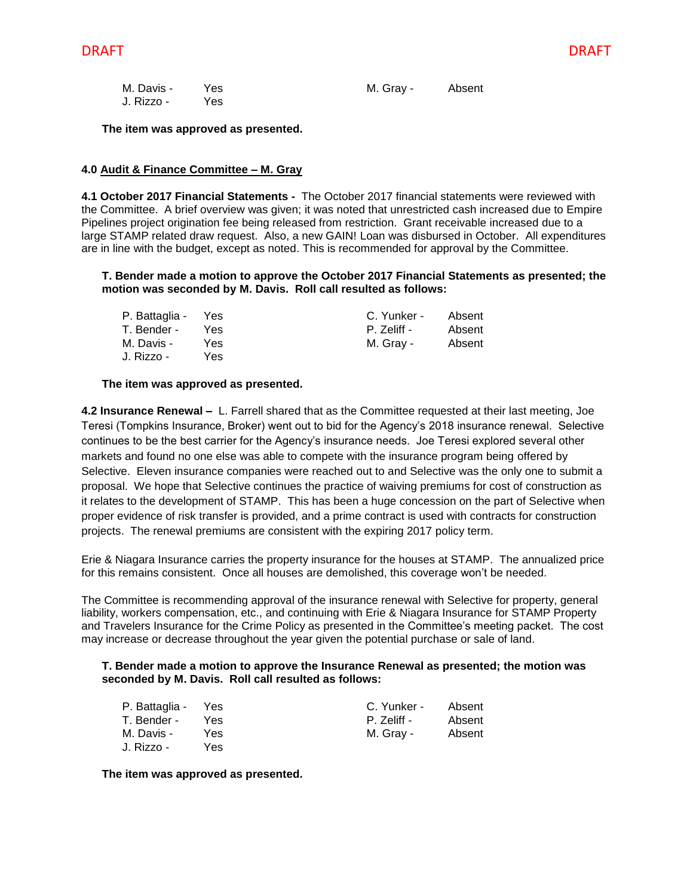| M. Davis - | - Yes | M. Gray - | Absent |
|------------|-------|-----------|--------|
| J. Rizzo - | Yes   |           |        |

**The item was approved as presented.**

#### **4.0 Audit & Finance Committee – M. Gray**

**4.1 October 2017 Financial Statements -** The October 2017 financial statements were reviewed with the Committee. A brief overview was given; it was noted that unrestricted cash increased due to Empire Pipelines project origination fee being released from restriction. Grant receivable increased due to a large STAMP related draw request. Also, a new GAIN! Loan was disbursed in October. All expenditures are in line with the budget, except as noted. This is recommended for approval by the Committee.

#### **T. Bender made a motion to approve the October 2017 Financial Statements as presented; the motion was seconded by M. Davis. Roll call resulted as follows:**

| P. Battaglia - Yes |      | C. Yunker - | Absent |
|--------------------|------|-------------|--------|
| T. Bender -        | Yes. | P. Zeliff - | Absent |
| M. Davis -         | Yes. | M. Grav -   | Absent |
| J. Rizzo -         | Yes  |             |        |

#### **The item was approved as presented.**

**4.2 Insurance Renewal –** L. Farrell shared that as the Committee requested at their last meeting, Joe Teresi (Tompkins Insurance, Broker) went out to bid for the Agency's 2018 insurance renewal. Selective continues to be the best carrier for the Agency's insurance needs. Joe Teresi explored several other markets and found no one else was able to compete with the insurance program being offered by Selective. Eleven insurance companies were reached out to and Selective was the only one to submit a proposal. We hope that Selective continues the practice of waiving premiums for cost of construction as it relates to the development of STAMP. This has been a huge concession on the part of Selective when proper evidence of risk transfer is provided, and a prime contract is used with contracts for construction projects. The renewal premiums are consistent with the expiring 2017 policy term.

Erie & Niagara Insurance carries the property insurance for the houses at STAMP. The annualized price for this remains consistent. Once all houses are demolished, this coverage won't be needed.

The Committee is recommending approval of the insurance renewal with Selective for property, general liability, workers compensation, etc., and continuing with Erie & Niagara Insurance for STAMP Property and Travelers Insurance for the Crime Policy as presented in the Committee's meeting packet. The cost may increase or decrease throughout the year given the potential purchase or sale of land.

#### **T. Bender made a motion to approve the Insurance Renewal as presented; the motion was seconded by M. Davis. Roll call resulted as follows:**

| P. Battaglia - Yes |      | C. Yunker - | Absent |
|--------------------|------|-------------|--------|
| T. Bender -        | Yes  | P. Zeliff - | Absent |
| M. Davis -         | Yes. | M. Gray -   | Absent |
| J. Rizzo -         | Yes. |             |        |

**The item was approved as presented.**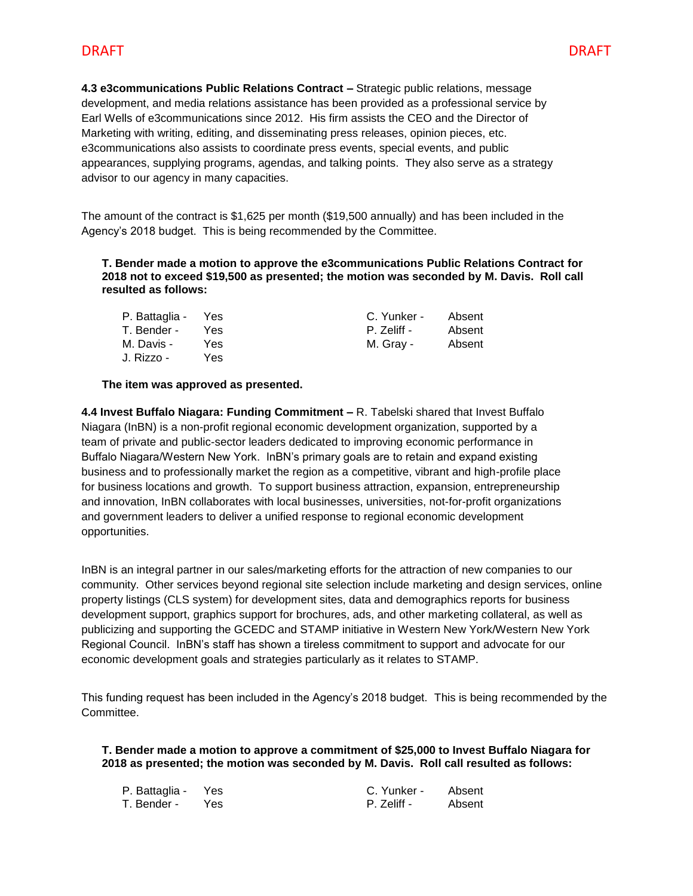**4.3 e3communications Public Relations Contract –** Strategic public relations, message development, and media relations assistance has been provided as a professional service by Earl Wells of e3communications since 2012. His firm assists the CEO and the Director of Marketing with writing, editing, and disseminating press releases, opinion pieces, etc. e3communications also assists to coordinate press events, special events, and public appearances, supplying programs, agendas, and talking points. They also serve as a strategy advisor to our agency in many capacities.

The amount of the contract is \$1,625 per month (\$19,500 annually) and has been included in the Agency's 2018 budget. This is being recommended by the Committee.

**T. Bender made a motion to approve the e3communications Public Relations Contract for 2018 not to exceed \$19,500 as presented; the motion was seconded by M. Davis. Roll call resulted as follows:**

| P. Battaglia - Yes |      | C. Yunker - | Absent |
|--------------------|------|-------------|--------|
| T. Bender -        | Yes. | P. Zeliff - | Absent |
| M. Davis -         | Yes. | M. Grav -   | Absent |
| J. Rizzo -         | Yes  |             |        |

#### **The item was approved as presented.**

**4.4 Invest Buffalo Niagara: Funding Commitment –** R. Tabelski shared that Invest Buffalo Niagara (InBN) is a non-profit regional economic development organization, supported by a team of private and public-sector leaders dedicated to improving economic performance in Buffalo Niagara/Western New York. InBN's primary goals are to retain and expand existing business and to professionally market the region as a competitive, vibrant and high-profile place for business locations and growth. To support business attraction, expansion, entrepreneurship and innovation, InBN collaborates with local businesses, universities, not-for-profit organizations and government leaders to deliver a unified response to regional economic development opportunities.

InBN is an integral partner in our sales/marketing efforts for the attraction of new companies to our community. Other services beyond regional site selection include marketing and design services, online property listings (CLS system) for development sites, data and demographics reports for business development support, graphics support for brochures, ads, and other marketing collateral, as well as publicizing and supporting the GCEDC and STAMP initiative in Western New York/Western New York Regional Council. InBN's staff has shown a tireless commitment to support and advocate for our economic development goals and strategies particularly as it relates to STAMP.

This funding request has been included in the Agency's 2018 budget. This is being recommended by the Committee.

**T. Bender made a motion to approve a commitment of \$25,000 to Invest Buffalo Niagara for 2018 as presented; the motion was seconded by M. Davis. Roll call resulted as follows:**

| P. Battaglia - Yes |     | C. Yunker - | Absent |
|--------------------|-----|-------------|--------|
| T. Bender -        | Yes | P. Zeliff - | Absent |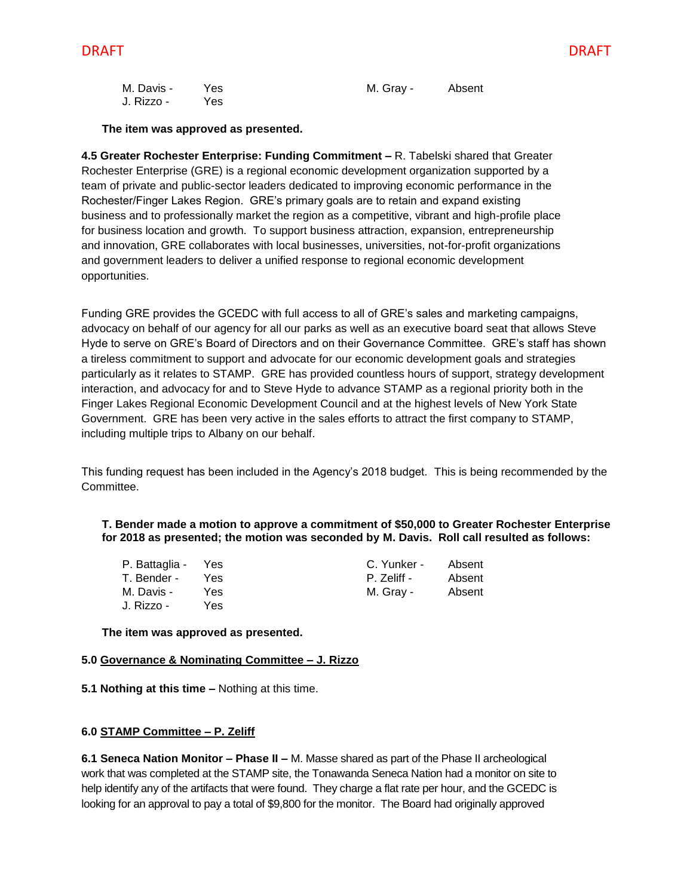| M. Davis - | Yes | M. Gray - | Absent |
|------------|-----|-----------|--------|
| J. Rizzo - | Yes |           |        |

**The item was approved as presented.**

**4.5 Greater Rochester Enterprise: Funding Commitment –** R. Tabelski shared that Greater Rochester Enterprise (GRE) is a regional economic development organization supported by a team of private and public-sector leaders dedicated to improving economic performance in the Rochester/Finger Lakes Region. GRE's primary goals are to retain and expand existing business and to professionally market the region as a competitive, vibrant and high-profile place for business location and growth. To support business attraction, expansion, entrepreneurship and innovation, GRE collaborates with local businesses, universities, not-for-profit organizations and government leaders to deliver a unified response to regional economic development opportunities.

Funding GRE provides the GCEDC with full access to all of GRE's sales and marketing campaigns, advocacy on behalf of our agency for all our parks as well as an executive board seat that allows Steve Hyde to serve on GRE's Board of Directors and on their Governance Committee. GRE's staff has shown a tireless commitment to support and advocate for our economic development goals and strategies particularly as it relates to STAMP. GRE has provided countless hours of support, strategy development interaction, and advocacy for and to Steve Hyde to advance STAMP as a regional priority both in the Finger Lakes Regional Economic Development Council and at the highest levels of New York State Government. GRE has been very active in the sales efforts to attract the first company to STAMP, including multiple trips to Albany on our behalf.

This funding request has been included in the Agency's 2018 budget. This is being recommended by the Committee.

#### **T. Bender made a motion to approve a commitment of \$50,000 to Greater Rochester Enterprise for 2018 as presented; the motion was seconded by M. Davis. Roll call resulted as follows:**

| P. Battaglia - | Yes  | C. Yunker - | Absent |
|----------------|------|-------------|--------|
| T. Bender -    | Yes. | P. Zeliff - | Absent |
| M. Davis -     | Yes. | M. Grav -   | Absent |
| J. Rizzo -     | Yes  |             |        |

**The item was approved as presented.**

### **5.0 Governance & Nominating Committee – J. Rizzo**

**5.1 Nothing at this time –** Nothing at this time.

# **6.0 STAMP Committee – P. Zeliff**

**6.1 Seneca Nation Monitor – Phase II –** M. Masse shared as part of the Phase II archeological work that was completed at the STAMP site, the Tonawanda Seneca Nation had a monitor on site to help identify any of the artifacts that were found. They charge a flat rate per hour, and the GCEDC is looking for an approval to pay a total of \$9,800 for the monitor. The Board had originally approved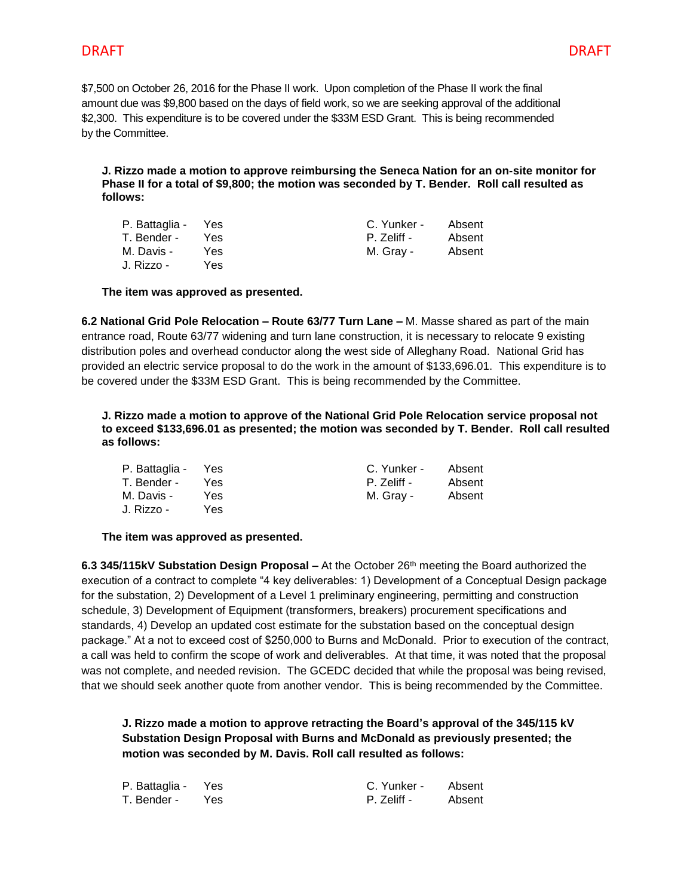# DRAFT DRAFT

\$7,500 on October 26, 2016 for the Phase II work. Upon completion of the Phase II work the final amount due was \$9,800 based on the days of field work, so we are seeking approval of the additional \$2,300. This expenditure is to be covered under the \$33M ESD Grant. This is being recommended by the Committee.

**J. Rizzo made a motion to approve reimbursing the Seneca Nation for an on-site monitor for Phase II for a total of \$9,800; the motion was seconded by T. Bender. Roll call resulted as follows:**

| P. Battaglia - Yes |      | C. Yunker - | Absent |
|--------------------|------|-------------|--------|
| T. Bender -        | Yes. | P. Zeliff - | Absent |
| M. Davis -         | Yes. | M. Gray -   | Absent |
| J. Rizzo -         | Yes  |             |        |

**The item was approved as presented.**

**6.2 National Grid Pole Relocation – Route 63/77 Turn Lane –** M. Masse shared as part of the main entrance road, Route 63/77 widening and turn lane construction, it is necessary to relocate 9 existing distribution poles and overhead conductor along the west side of Alleghany Road. National Grid has provided an electric service proposal to do the work in the amount of \$133,696.01. This expenditure is to be covered under the \$33M ESD Grant. This is being recommended by the Committee.

**J. Rizzo made a motion to approve of the National Grid Pole Relocation service proposal not to exceed \$133,696.01 as presented; the motion was seconded by T. Bender. Roll call resulted as follows:**

| P. Battaglia - Yes |      | C. Yunker - | Absent |
|--------------------|------|-------------|--------|
| T. Bender -        | Yes. | P. Zeliff - | Absent |
| M. Davis -         | Yes. | M. Grav -   | Absent |
| J. Rizzo -         | Yes. |             |        |

# **The item was approved as presented.**

**6.3 345/115kV Substation Design Proposal –** At the October 26th meeting the Board authorized the execution of a contract to complete "4 key deliverables: 1) Development of a Conceptual Design package for the substation, 2) Development of a Level 1 preliminary engineering, permitting and construction schedule, 3) Development of Equipment (transformers, breakers) procurement specifications and standards, 4) Develop an updated cost estimate for the substation based on the conceptual design package." At a not to exceed cost of \$250,000 to Burns and McDonald. Prior to execution of the contract, a call was held to confirm the scope of work and deliverables. At that time, it was noted that the proposal was not complete, and needed revision. The GCEDC decided that while the proposal was being revised, that we should seek another quote from another vendor. This is being recommended by the Committee.

**J. Rizzo made a motion to approve retracting the Board's approval of the 345/115 kV Substation Design Proposal with Burns and McDonald as previously presented; the motion was seconded by M. Davis. Roll call resulted as follows:**

| P. Battaglia - Yes | C. Yunker - | Absent |
|--------------------|-------------|--------|
| T. Bender - Yes    | P. Zeliff - | Absent |